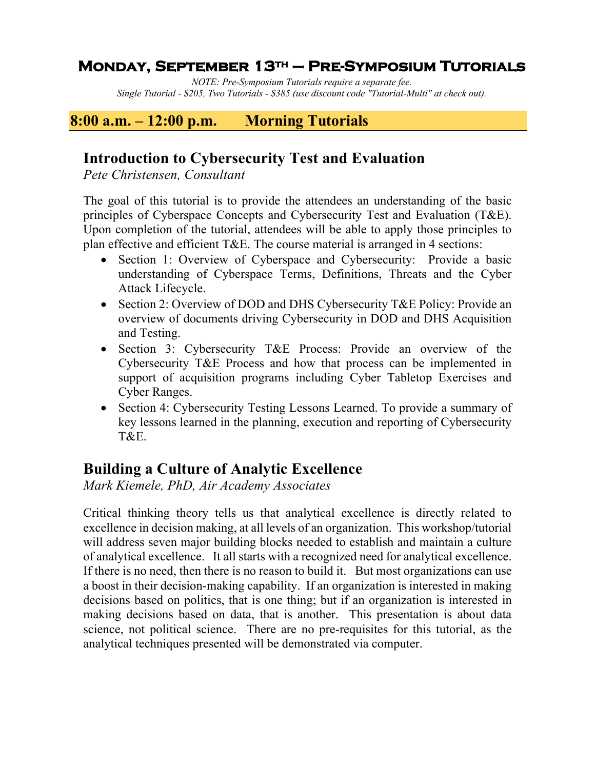### **Monday, September 13th – Pre-Symposium Tutorials**

*NOTE: Pre-Symposium Tutorials require a separate fee. Single Tutorial - \$205, Two Tutorials - \$385 (use discount code "Tutorial-Multi" at check out).*

### **8:00 a.m. – 12:00 p.m. Morning Tutorials**

### **Introduction to Cybersecurity Test and Evaluation**

*Pete Christensen, Consultant*

The goal of this tutorial is to provide the attendees an understanding of the basic principles of Cyberspace Concepts and Cybersecurity Test and Evaluation (T&E). Upon completion of the tutorial, attendees will be able to apply those principles to plan effective and efficient T&E. The course material is arranged in 4 sections:

- Section 1: Overview of Cyberspace and Cybersecurity: Provide a basic understanding of Cyberspace Terms, Definitions, Threats and the Cyber Attack Lifecycle.
- Section 2: Overview of DOD and DHS Cybersecurity T&E Policy: Provide an overview of documents driving Cybersecurity in DOD and DHS Acquisition and Testing.
- Section 3: Cybersecurity T&E Process: Provide an overview of the Cybersecurity T&E Process and how that process can be implemented in support of acquisition programs including Cyber Tabletop Exercises and Cyber Ranges.
- Section 4: Cybersecurity Testing Lessons Learned. To provide a summary of key lessons learned in the planning, execution and reporting of Cybersecurity T&E.

# **Building a Culture of Analytic Excellence**

*Mark Kiemele, PhD, Air Academy Associates*

Critical thinking theory tells us that analytical excellence is directly related to excellence in decision making, at all levels of an organization. This workshop/tutorial will address seven major building blocks needed to establish and maintain a culture of analytical excellence. It all starts with a recognized need for analytical excellence. If there is no need, then there is no reason to build it. But most organizations can use a boost in their decision-making capability. If an organization is interested in making decisions based on politics, that is one thing; but if an organization is interested in making decisions based on data, that is another. This presentation is about data science, not political science. There are no pre-requisites for this tutorial, as the analytical techniques presented will be demonstrated via computer.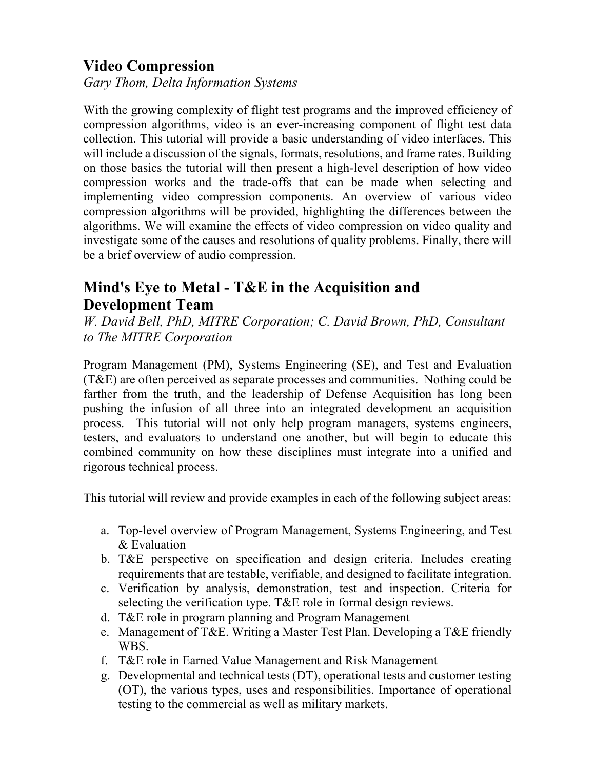## **Video Compression**

*Gary Thom, Delta Information Systems*

With the growing complexity of flight test programs and the improved efficiency of compression algorithms, video is an ever-increasing component of flight test data collection. This tutorial will provide a basic understanding of video interfaces. This will include a discussion of the signals, formats, resolutions, and frame rates. Building on those basics the tutorial will then present a high-level description of how video compression works and the trade-offs that can be made when selecting and implementing video compression components. An overview of various video compression algorithms will be provided, highlighting the differences between the algorithms. We will examine the effects of video compression on video quality and investigate some of the causes and resolutions of quality problems. Finally, there will be a brief overview of audio compression.

## **Mind's Eye to Metal - T&E in the Acquisition and Development Team**

*W. David Bell, PhD, MITRE Corporation; C. David Brown, PhD, Consultant to The MITRE Corporation*

Program Management (PM), Systems Engineering (SE), and Test and Evaluation (T&E) are often perceived as separate processes and communities. Nothing could be farther from the truth, and the leadership of Defense Acquisition has long been pushing the infusion of all three into an integrated development an acquisition process. This tutorial will not only help program managers, systems engineers, testers, and evaluators to understand one another, but will begin to educate this combined community on how these disciplines must integrate into a unified and rigorous technical process.

This tutorial will review and provide examples in each of the following subject areas:

- a. Top-level overview of Program Management, Systems Engineering, and Test & Evaluation
- b. T&E perspective on specification and design criteria. Includes creating requirements that are testable, verifiable, and designed to facilitate integration.
- c. Verification by analysis, demonstration, test and inspection. Criteria for selecting the verification type. T&E role in formal design reviews.
- d. T&E role in program planning and Program Management
- e. Management of T&E. Writing a Master Test Plan. Developing a T&E friendly WBS.
- f. T&E role in Earned Value Management and Risk Management
- g. Developmental and technical tests (DT), operational tests and customer testing (OT), the various types, uses and responsibilities. Importance of operational testing to the commercial as well as military markets.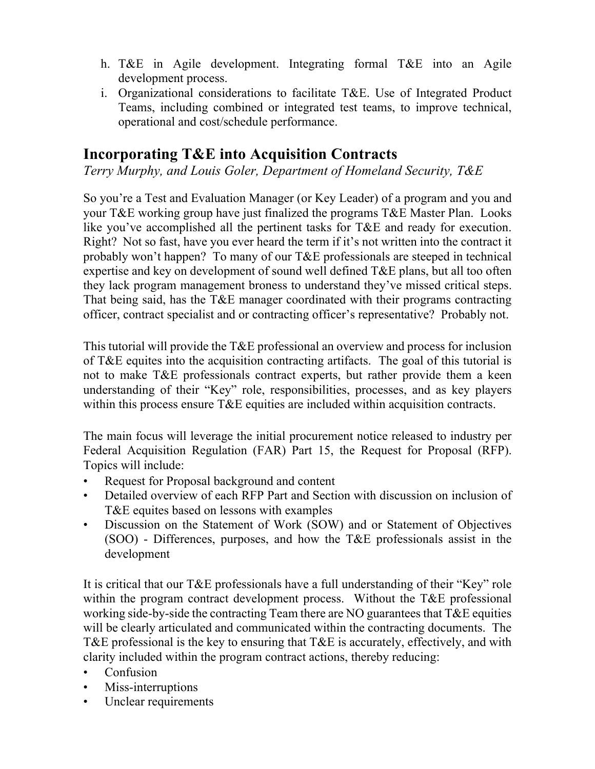- h. T&E in Agile development. Integrating formal T&E into an Agile development process.
- i. Organizational considerations to facilitate T&E. Use of Integrated Product Teams, including combined or integrated test teams, to improve technical, operational and cost/schedule performance.

## **Incorporating T&E into Acquisition Contracts**

*Terry Murphy, and Louis Goler, Department of Homeland Security, T&E*

So you're a Test and Evaluation Manager (or Key Leader) of a program and you and your T&E working group have just finalized the programs T&E Master Plan. Looks like you've accomplished all the pertinent tasks for T&E and ready for execution. Right? Not so fast, have you ever heard the term if it's not written into the contract it probably won't happen? To many of our T&E professionals are steeped in technical expertise and key on development of sound well defined T&E plans, but all too often they lack program management broness to understand they've missed critical steps. That being said, has the T&E manager coordinated with their programs contracting officer, contract specialist and or contracting officer's representative? Probably not.

This tutorial will provide the T&E professional an overview and process for inclusion of T&E equites into the acquisition contracting artifacts. The goal of this tutorial is not to make T&E professionals contract experts, but rather provide them a keen understanding of their "Key" role, responsibilities, processes, and as key players within this process ensure T&E equities are included within acquisition contracts.

The main focus will leverage the initial procurement notice released to industry per Federal Acquisition Regulation (FAR) Part 15, the Request for Proposal (RFP). Topics will include:

- Request for Proposal background and content
- Detailed overview of each RFP Part and Section with discussion on inclusion of T&E equites based on lessons with examples
- Discussion on the Statement of Work (SOW) and or Statement of Objectives (SOO) - Differences, purposes, and how the T&E professionals assist in the development

It is critical that our T&E professionals have a full understanding of their "Key" role within the program contract development process. Without the T&E professional working side-by-side the contracting Team there are NO guarantees that T&E equities will be clearly articulated and communicated within the contracting documents. The T&E professional is the key to ensuring that T&E is accurately, effectively, and with clarity included within the program contract actions, thereby reducing:

- Confusion
- Miss-interruptions
- Unclear requirements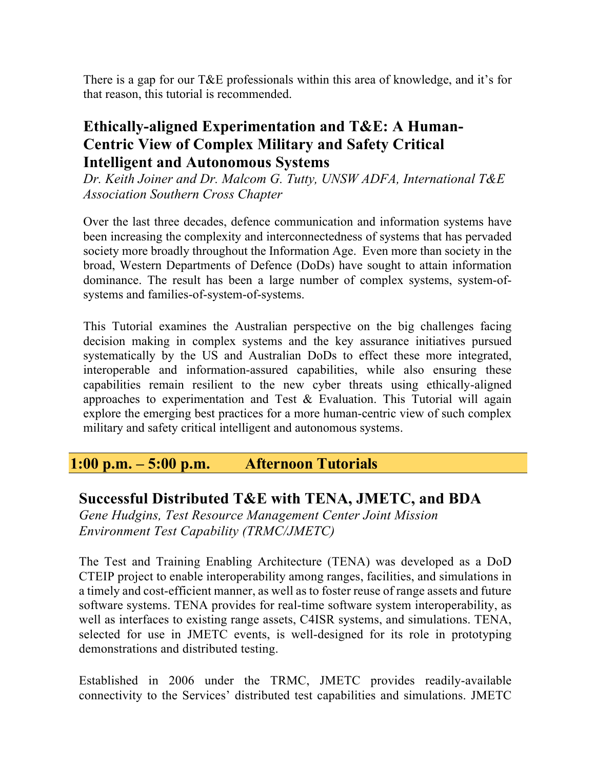There is a gap for our T&E professionals within this area of knowledge, and it's for that reason, this tutorial is recommended.

## **Ethically-aligned Experimentation and T&E: A Human-Centric View of Complex Military and Safety Critical Intelligent and Autonomous Systems**

*Dr. Keith Joiner and Dr. Malcom G. Tutty, UNSW ADFA, International T&E Association Southern Cross Chapter*

Over the last three decades, defence communication and information systems have been increasing the complexity and interconnectedness of systems that has pervaded society more broadly throughout the Information Age. Even more than society in the broad, Western Departments of Defence (DoDs) have sought to attain information dominance. The result has been a large number of complex systems, system-ofsystems and families-of-system-of-systems.

This Tutorial examines the Australian perspective on the big challenges facing decision making in complex systems and the key assurance initiatives pursued systematically by the US and Australian DoDs to effect these more integrated, interoperable and information-assured capabilities, while also ensuring these capabilities remain resilient to the new cyber threats using ethically-aligned approaches to experimentation and Test & Evaluation. This Tutorial will again explore the emerging best practices for a more human-centric view of such complex military and safety critical intelligent and autonomous systems.

#### **1:00 p.m. – 5:00 p.m. Afternoon Tutorials**

#### **Successful Distributed T&E with TENA, JMETC, and BDA**

*Gene Hudgins, Test Resource Management Center Joint Mission Environment Test Capability (TRMC/JMETC)*

The Test and Training Enabling Architecture (TENA) was developed as a DoD CTEIP project to enable interoperability among ranges, facilities, and simulations in a timely and cost-efficient manner, as well as to foster reuse of range assets and future software systems. TENA provides for real-time software system interoperability, as well as interfaces to existing range assets, C4ISR systems, and simulations. TENA, selected for use in JMETC events, is well-designed for its role in prototyping demonstrations and distributed testing.

Established in 2006 under the TRMC, JMETC provides readily-available connectivity to the Services' distributed test capabilities and simulations. JMETC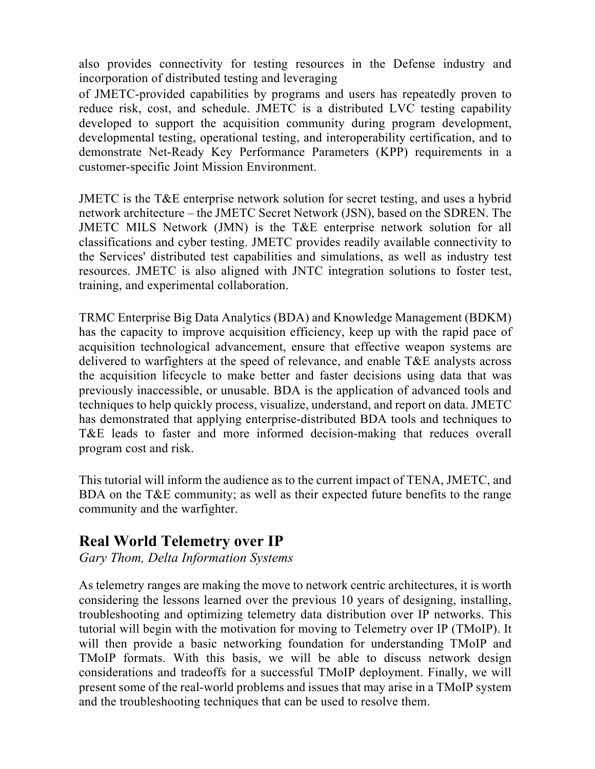also provides connectivity for testing resources in the Defense industry and incorporation of distributed testing and leveraging

of JMETC-provided capabilities by programs and users has repeatedly proven to reduce risk, cost, and schedule. JMETC is a distributed LVC testing capability developed to support the acquisition community during program development, developmental testing, operational testing, and interoperability certification, and to demonstrate Net-Ready Key Performance Parameters (KPP) requirements in a customer-specific Joint Mission Environment.

JMETC is the T&E enterprise network solution for secret testing, and uses a hybrid network architecture – the JMETC Secret Network (JSN), based on the SDREN. The JMETC MILS Network (JMN) is the T&E enterprise network solution for all classifications and cyber testing. JMETC provides readily available connectivity to the Services' distributed test capabilities and simulations, as well as industry test resources. JMETC is also aligned with JNTC integration solutions to foster test, training, and experimental collaboration.

TRMC Enterprise Big Data Analytics (BDA) and Knowledge Management (BDKM) has the capacity to improve acquisition efficiency, keep up with the rapid pace of acquisition technological advancement, ensure that effective weapon systems are delivered to warfighters at the speed of relevance, and enable T&E analysts across the acquisition lifecycle to make better and faster decisions using data that was previously inaccessible, or unusable. BDA is the application of advanced tools and techniques to help quickly process, visualize, understand, and report on data. JMETC has demonstrated that applying enterprise-distributed BDA tools and techniques to T&E leads to faster and more informed decision-making that reduces overall program cost and risk.

This tutorial will inform the audience as to the current impact of TENA, JMETC, and BDA on the T&E community; as well as their expected future benefits to the range community and the warfighter.

## **Real World Telemetry over IP**

*Gary Thom, Delta Information Systems*

As telemetry ranges are making the move to network centric architectures, it is worth considering the lessons learned over the previous 10 years of designing, installing, troubleshooting and optimizing telemetry data distribution over IP networks. This tutorial will begin with the motivation for moving to Telemetry over IP (TMoIP). It will then provide a basic networking foundation for understanding TMoIP and TMoIP formats. With this basis, we will be able to discuss network design considerations and tradeoffs for a successful TMoIP deployment. Finally, we will present some of the real-world problems and issues that may arise in a TMoIP system and the troubleshooting techniques that can be used to resolve them.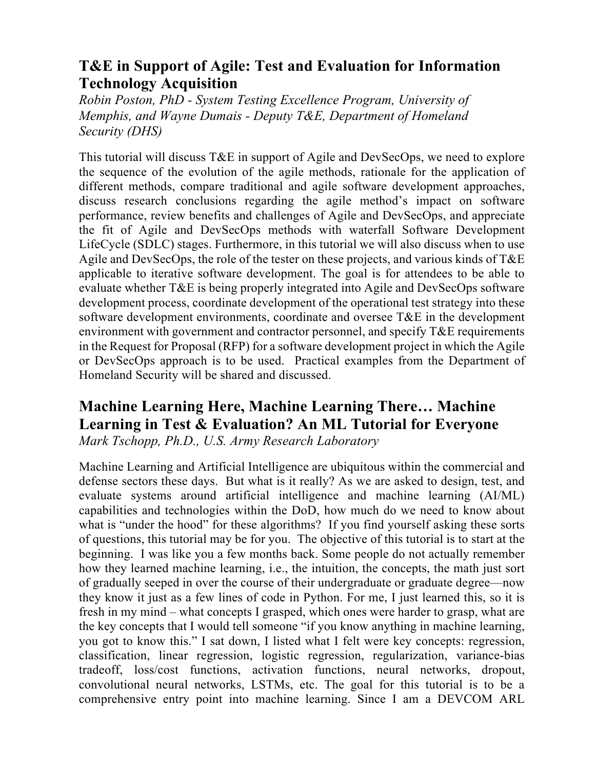## **T&E in Support of Agile: Test and Evaluation for Information Technology Acquisition**

*Robin Poston, PhD - System Testing Excellence Program, University of Memphis, and Wayne Dumais - Deputy T&E, Department of Homeland Security (DHS)*

This tutorial will discuss T&E in support of Agile and DevSecOps, we need to explore the sequence of the evolution of the agile methods, rationale for the application of different methods, compare traditional and agile software development approaches, discuss research conclusions regarding the agile method's impact on software performance, review benefits and challenges of Agile and DevSecOps, and appreciate the fit of Agile and DevSecOps methods with waterfall Software Development LifeCycle (SDLC) stages. Furthermore, in this tutorial we will also discuss when to use Agile and DevSecOps, the role of the tester on these projects, and various kinds of T&E applicable to iterative software development. The goal is for attendees to be able to evaluate whether T&E is being properly integrated into Agile and DevSecOps software development process, coordinate development of the operational test strategy into these software development environments, coordinate and oversee T&E in the development environment with government and contractor personnel, and specify T&E requirements in the Request for Proposal (RFP) for a software development project in which the Agile or DevSecOps approach is to be used. Practical examples from the Department of Homeland Security will be shared and discussed.

# **Machine Learning Here, Machine Learning There… Machine Learning in Test & Evaluation? An ML Tutorial for Everyone**

*Mark Tschopp, Ph.D., U.S. Army Research Laboratory*

Machine Learning and Artificial Intelligence are ubiquitous within the commercial and defense sectors these days. But what is it really? As we are asked to design, test, and evaluate systems around artificial intelligence and machine learning (AI/ML) capabilities and technologies within the DoD, how much do we need to know about what is "under the hood" for these algorithms? If you find yourself asking these sorts of questions, this tutorial may be for you. The objective of this tutorial is to start at the beginning. I was like you a few months back. Some people do not actually remember how they learned machine learning, i.e., the intuition, the concepts, the math just sort of gradually seeped in over the course of their undergraduate or graduate degree—now they know it just as a few lines of code in Python. For me, I just learned this, so it is fresh in my mind – what concepts I grasped, which ones were harder to grasp, what are the key concepts that I would tell someone "if you know anything in machine learning, you got to know this." I sat down, I listed what I felt were key concepts: regression, classification, linear regression, logistic regression, regularization, variance-bias tradeoff, loss/cost functions, activation functions, neural networks, dropout, convolutional neural networks, LSTMs, etc. The goal for this tutorial is to be a comprehensive entry point into machine learning. Since I am a DEVCOM ARL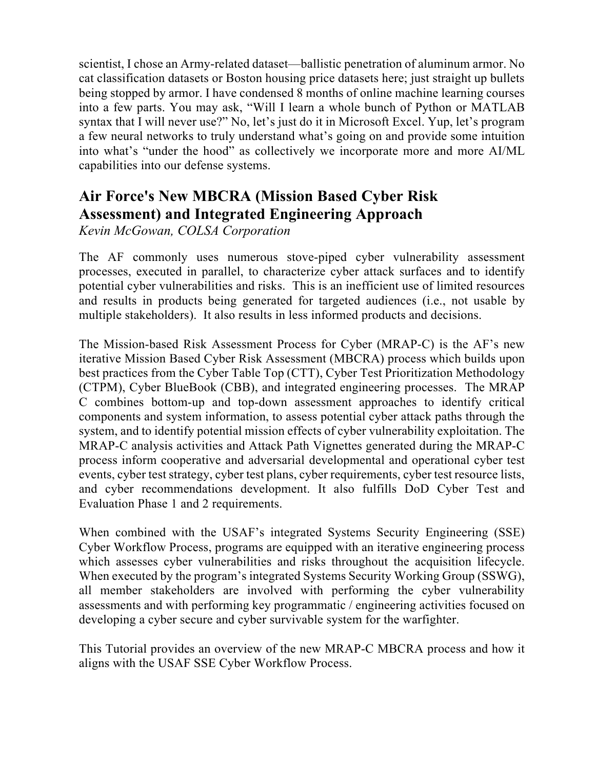scientist, I chose an Army-related dataset—ballistic penetration of aluminum armor. No cat classification datasets or Boston housing price datasets here; just straight up bullets being stopped by armor. I have condensed 8 months of online machine learning courses into a few parts. You may ask, "Will I learn a whole bunch of Python or MATLAB syntax that I will never use?" No, let's just do it in Microsoft Excel. Yup, let's program a few neural networks to truly understand what's going on and provide some intuition into what's "under the hood" as collectively we incorporate more and more AI/ML capabilities into our defense systems.

## **Air Force's New MBCRA (Mission Based Cyber Risk Assessment) and Integrated Engineering Approach**

*Kevin McGowan, COLSA Corporation*

The AF commonly uses numerous stove-piped cyber vulnerability assessment processes, executed in parallel, to characterize cyber attack surfaces and to identify potential cyber vulnerabilities and risks. This is an inefficient use of limited resources and results in products being generated for targeted audiences (i.e., not usable by multiple stakeholders). It also results in less informed products and decisions.

The Mission-based Risk Assessment Process for Cyber (MRAP-C) is the AF's new iterative Mission Based Cyber Risk Assessment (MBCRA) process which builds upon best practices from the Cyber Table Top (CTT), Cyber Test Prioritization Methodology (CTPM), Cyber BlueBook (CBB), and integrated engineering processes. The MRAP C combines bottom-up and top-down assessment approaches to identify critical components and system information, to assess potential cyber attack paths through the system, and to identify potential mission effects of cyber vulnerability exploitation. The MRAP-C analysis activities and Attack Path Vignettes generated during the MRAP-C process inform cooperative and adversarial developmental and operational cyber test events, cyber test strategy, cyber test plans, cyber requirements, cyber test resource lists, and cyber recommendations development. It also fulfills DoD Cyber Test and Evaluation Phase 1 and 2 requirements.

When combined with the USAF's integrated Systems Security Engineering (SSE) Cyber Workflow Process, programs are equipped with an iterative engineering process which assesses cyber vulnerabilities and risks throughout the acquisition lifecycle. When executed by the program's integrated Systems Security Working Group (SSWG), all member stakeholders are involved with performing the cyber vulnerability assessments and with performing key programmatic / engineering activities focused on developing a cyber secure and cyber survivable system for the warfighter.

This Tutorial provides an overview of the new MRAP-C MBCRA process and how it aligns with the USAF SSE Cyber Workflow Process.